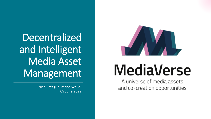Decentralized and Intelligent Media Asset Management

> Nico Patz (Deutsche Welle) 09 June 2022



# MediaVerse

A universe of media assets and co-creation opportunities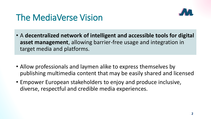

#### The MediaVerse Vision

- A **decentralized network of intelligent and accessible tools for digital asset management**, allowing barrier-free usage and integration in target media and platforms.
- Allow professionals and laymen alike to express themselves by publishing multimedia content that may be easily shared and licensed
- Empower European stakeholders to enjoy and produce inclusive, diverse, respectful and credible media experiences.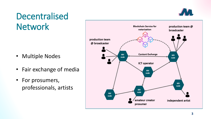### Decentralised **Network**

- Multiple Nodes
- Fair exchange of media
- For prosumers, professionals, artists



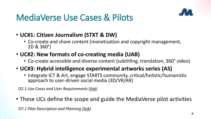#### MediaVerse Use Cases & Pilots



- **UC#1: Citizen Journalism (STXT & DW)**
	- Co-create and share content (monetisation and copyright management, 2D & 360°)
- **UC#2: New formats of co-creating media (UAB)**
	- Co-create accessible and diverse content (subtitling, translation, 360° video)
- **UC#3: Hybrid intelligence experimental artworks series (AS)**
	- Integrate ICT & Art, engage STARTS community, critical/holistic/humanistic approach to user-driven social media (3D/VR/AR)

*D2.1 Use Cases and User Requirements [\(link\)](https://mediaverse-project.eu/wp-content/uploads/2021/04/D2.1-V1.0.pdf)*

• These UCs define the scope and guide the MediaVerse pilot activities

*D7.1 Pilot Description and Planning ([link\)](https://mediaverse-project.eu/wp-content/uploads/2021/10/MediaVerse_D7.1_Pilot-Description-and-Planning_V1.0.pdf)*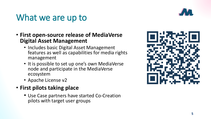#### What we are up to



- **First open-source release of MediaVerse Digital Asset Management**
	- Includes basic Digital Asset Management features as well as capabilities for media rights management
	- It is possible to set up one's own MediaVerse node and participate in the MediaVerse ecosystem
	- Apache License v2
- **First pilots taking place**
	- Use Case partners have started Co -Creation pilots with target user groups

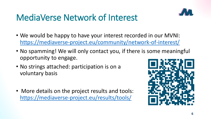## MediaVerse Network of Interest

- We would be happy to have your interest recorded in our MVNI:
- <https://mediaverse-project.eu/community/network-of-interest/>
- No spamming! We will only contact you, if there is some meaningful opportunity to engage.
- No strings attached: participation is on a voluntary basis
- More details on the project results and tools: <https://mediaverse-project.eu/results/tools/>